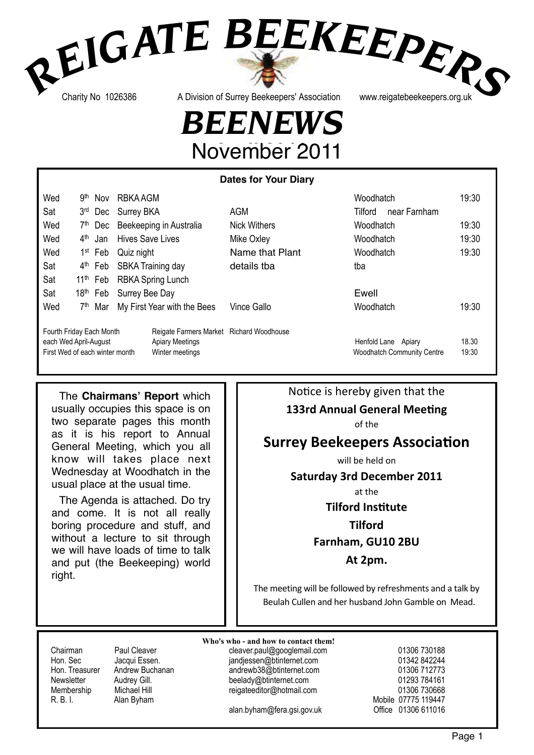# REIGATE BEEKEEPERS

Charity No 1026386

A Division of Surrey Beekeepers' Association

www.reigatebeekeepers.org.uk

## **BEENEWS** November 2011

|                                                                                     |                 |                      |                         |                                                                                       | <b>Dates for Your Diary</b> |                                                          |                |
|-------------------------------------------------------------------------------------|-----------------|----------------------|-------------------------|---------------------------------------------------------------------------------------|-----------------------------|----------------------------------------------------------|----------------|
| Wed                                                                                 | .gth            | <b>Nov</b>           | RBKA AGM                |                                                                                       |                             | Woodhatch                                                | 19:30          |
| Sat                                                                                 | 3 <sub>rd</sub> | Dec                  | <b>Surrey BKA</b>       |                                                                                       | <b>AGM</b>                  | Tilford<br>near Farnham                                  |                |
| Wed                                                                                 | 7 <sup>th</sup> | Dec                  |                         | Beekeeping in Australia                                                               | <b>Nick Withers</b>         | Woodhatch                                                | 19:30          |
| Wed                                                                                 | 4 <sup>th</sup> | Jan                  | <b>Hives Save Lives</b> |                                                                                       | Mike Oxley                  | Woodhatch                                                | 19:30          |
| Wed                                                                                 |                 | 1 <sup>st</sup> Feb  | Quiz night              |                                                                                       | Name that Plant             | Woodhatch                                                | 19:30          |
| Sat                                                                                 |                 | 4 <sup>th</sup> Feb  |                         | SBKA Training day                                                                     | details tba                 | tba                                                      |                |
| Sat                                                                                 |                 | $11th$ Feb           |                         | <b>RBKA Spring Lunch</b>                                                              |                             |                                                          |                |
| Sat                                                                                 |                 | 18 <sup>th</sup> Feb | Surrey Bee Day          |                                                                                       |                             | Ewell                                                    |                |
| Wed                                                                                 | 7 <sup>th</sup> | Mar                  |                         | My First Year with the Bees                                                           | Vince Gallo                 | Woodhatch                                                | 19:30          |
| Fourth Friday Each Month<br>each Wed April-August<br>First Wed of each winter month |                 |                      |                         | Reigate Farmers Market Richard Woodhouse<br><b>Apiary Meetings</b><br>Winter meetings |                             | Henfold Lane Apiary<br><b>Woodhatch Community Centre</b> | 18.30<br>19:30 |

The Chairmans' Report which usually occupies this space is on two separate pages this month as it is his report to Annual General Meeting, which you all know will takes place next Wednesday at Woodhatch in the usual place at the usual time.

The Agenda is attached. Do try and come. It is not all really boring procedure and stuff, and without a lecture to sit through we will have loads of time to talk and put (the Beekeeping) world right.

#### Notice is hereby given that the

#### **133rd Annual General Meeting**

of the

#### **Surrey Beekeepers Association**

will be held on

**Saturday 3rd December 2011** 

at the

### **Tilford Institute**

#### **Tilford** Farnham, GU10 2BU

At 2pm.

The meeting will be followed by refreshments and a talk by Beulah Cullen and her husband John Gamble on Mead.

Chairman Hon. Sec Hon. Treasurer Newsletter Membership R. B. I.

Paul Cleaver Jacqui Essen. Andrew Buchanan Audrey Gill. Michael Hill Alan Byham

Who's who - and how to contact them! cleaver.paul@googlemail.com jandjessen@btinternet.com andrewb38@btinternet.com beelady@btinternet.com reigateeditor@hotmail.com

alan.byham@fera.gsi.gov.uk

01306 730188 01342 842244 01306 712773 01293 784161 01306 730668 Mobile 07775 119447 Office 01306 611016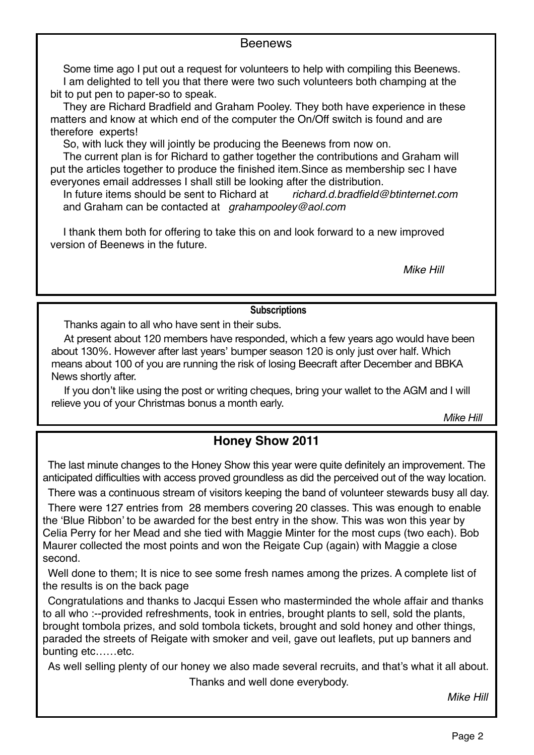#### **Beenews**

Some time ago I put out a request for volunteers to help with compiling this Beenews. I am delighted to tell you that there were two such volunteers both champing at the bit to put pen to paper-so to speak.

They are Richard Bradfield and Graham Pooley. They both have experience in these matters and know at which end of the computer the On/Off switch is found and are therefore experts!

So, with luck they will jointly be producing the Beenews from now on.

The current plan is for Richard to gather together the contributions and Graham will put the articles together to produce the finished item.Since as membership sec I have everyones email addresses I shall still be looking after the distribution.

In future items should be sent to Richard at *richard.d.bradfield@btinternet.com*  and Graham can be contacted at *grahampooley@aol.com*

I thank them both for offering to take this on and look forward to a new improved version of Beenews in the future.

*Mike Hill*

#### **Subscriptions**

Thanks again to all who have sent in their subs.

At present about 120 members have responded, which a few years ago would have been about 130%. However after last years' bumper season 120 is only just over half. Which means about 100 of you are running the risk of losing Beecraft after December and BBKA News shortly after.

If you don't like using the post or writing cheques, bring your wallet to the AGM and I will relieve you of your Christmas bonus a month early.

*Mike Hill*

#### **Honey Show 2011**

The last minute changes to the Honey Show this year were quite definitely an improvement. The anticipated difficulties with access proved groundless as did the perceived out of the way location.

There was a continuous stream of visitors keeping the band of volunteer stewards busy all day.

There were 127 entries from 28 members covering 20 classes. This was enough to enable the 'Blue Ribbon' to be awarded for the best entry in the show. This was won this year by Celia Perry for her Mead and she tied with Maggie Minter for the most cups (two each). Bob Maurer collected the most points and won the Reigate Cup (again) with Maggie a close second.

Well done to them; It is nice to see some fresh names among the prizes. A complete list of the results is on the back page

Congratulations and thanks to Jacqui Essen who masterminded the whole affair and thanks to all who :--provided refreshments, took in entries, brought plants to sell, sold the plants, brought tombola prizes, and sold tombola tickets, brought and sold honey and other things, paraded the streets of Reigate with smoker and veil, gave out leaflets, put up banners and bunting etc……etc.

As well selling plenty of our honey we also made several recruits, and that's what it all about. Thanks and well done everybody.

*Mike Hill*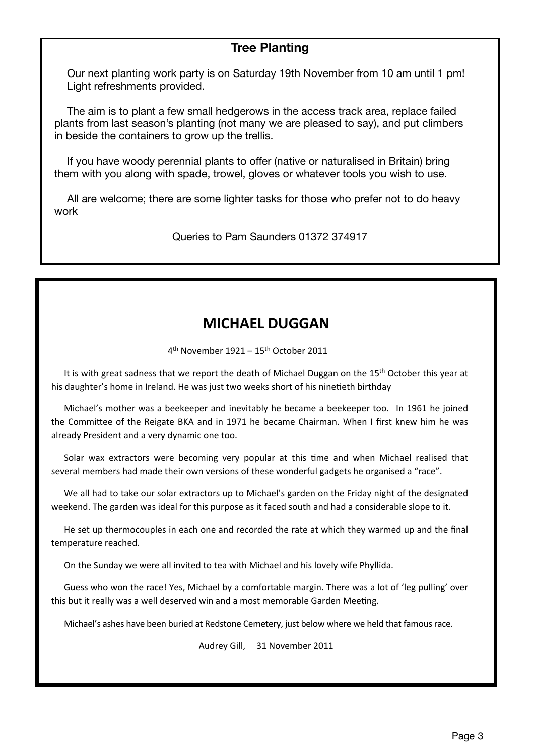#### **Tree Planting**

Our next planting work party is on Saturday 19th November from 10 am until 1 pm! Light refreshments provided.

The aim is to plant a few small hedgerows in the access track area, replace failed plants from last season's planting (not many we are pleased to say), and put climbers in beside the containers to grow up the trellis.

If you have woody perennial plants to offer (native or naturalised in Britain) bring them with you along with spade, trowel, gloves or whatever tools you wish to use.

All are welcome; there are some lighter tasks for those who prefer not to do heavy work

Queries to Pam Saunders 01372 374917

#### **MICHAEL DUGGAN**

 $4<sup>th</sup>$  November 1921 – 15<sup>th</sup> October 2011

It is with great sadness that we report the death of Michael Duggan on the 15<sup>th</sup> October this year at his daughter's home in Ireland. He was just two weeks short of his ninetieth birthday

Michael's mother was a beekeeper and inevitably he became a beekeeper too. In 1961 he joined the Committee of the Reigate BKA and in 1971 he became Chairman. When I first knew him he was already President and a very dynamic one too.

Solar wax extractors were becoming very popular at this time and when Michael realised that several members had made their own versions of these wonderful gadgets he organised a "race".

We all had to take our solar extractors up to Michael's garden on the Friday night of the designated weekend. The garden was ideal for this purpose as it faced south and had a considerable slope to it.

He set up thermocouples in each one and recorded the rate at which they warmed up and the final temperature reached.

On the Sunday we were all invited to tea with Michael and his lovely wife Phyllida.

Guess who won the race! Yes, Michael by a comfortable margin. There was a lot of 'leg pulling' over this but it really was a well deserved win and a most memorable Garden Meeting.

Michael's ashes have been buried at Redstone Cemetery, just below where we held that famous race.

Audrey Gill, 31 November 2011